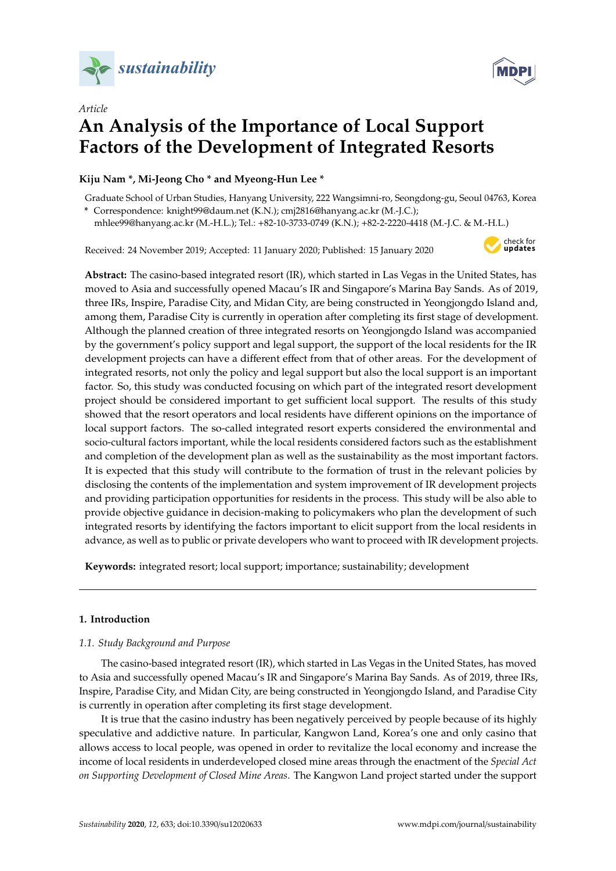



# *Article* **An Analysis of the Importance of Local Support Factors of the Development of Integrated Resorts**

# **Kiju Nam \*, Mi-Jeong Cho \* and Myeong-Hun Lee \***

Graduate School of Urban Studies, Hanyang University, 222 Wangsimni-ro, Seongdong-gu, Seoul 04763, Korea **\*** Correspondence: knight99@daum.net (K.N.); cmj2816@hanyang.ac.kr (M.-J.C.);

mhlee99@hanyang.ac.kr (M.-H.L.); Tel.: +82-10-3733-0749 (K.N.); +82-2-2220-4418 (M.-J.C. & M.-H.L.)

Received: 24 November 2019; Accepted: 11 January 2020; Published: 15 January 2020



**Abstract:** The casino-based integrated resort (IR), which started in Las Vegas in the United States, has moved to Asia and successfully opened Macau's IR and Singapore's Marina Bay Sands. As of 2019, three IRs, Inspire, Paradise City, and Midan City, are being constructed in Yeongjongdo Island and, among them, Paradise City is currently in operation after completing its first stage of development. Although the planned creation of three integrated resorts on Yeongjongdo Island was accompanied by the government's policy support and legal support, the support of the local residents for the IR development projects can have a different effect from that of other areas. For the development of integrated resorts, not only the policy and legal support but also the local support is an important factor. So, this study was conducted focusing on which part of the integrated resort development project should be considered important to get sufficient local support. The results of this study showed that the resort operators and local residents have different opinions on the importance of local support factors. The so-called integrated resort experts considered the environmental and socio-cultural factors important, while the local residents considered factors such as the establishment and completion of the development plan as well as the sustainability as the most important factors. It is expected that this study will contribute to the formation of trust in the relevant policies by disclosing the contents of the implementation and system improvement of IR development projects and providing participation opportunities for residents in the process. This study will be also able to provide objective guidance in decision-making to policymakers who plan the development of such integrated resorts by identifying the factors important to elicit support from the local residents in advance, as well as to public or private developers who want to proceed with IR development projects.

**Keywords:** integrated resort; local support; importance; sustainability; development

# **1. Introduction**

## *1.1. Study Background and Purpose*

The casino-based integrated resort (IR), which started in Las Vegas in the United States, has moved to Asia and successfully opened Macau's IR and Singapore's Marina Bay Sands. As of 2019, three IRs, Inspire, Paradise City, and Midan City, are being constructed in Yeongjongdo Island, and Paradise City is currently in operation after completing its first stage development.

It is true that the casino industry has been negatively perceived by people because of its highly speculative and addictive nature. In particular, Kangwon Land, Korea's one and only casino that allows access to local people, was opened in order to revitalize the local economy and increase the income of local residents in underdeveloped closed mine areas through the enactment of the *Special Act on Supporting Development of Closed Mine Areas*. The Kangwon Land project started under the support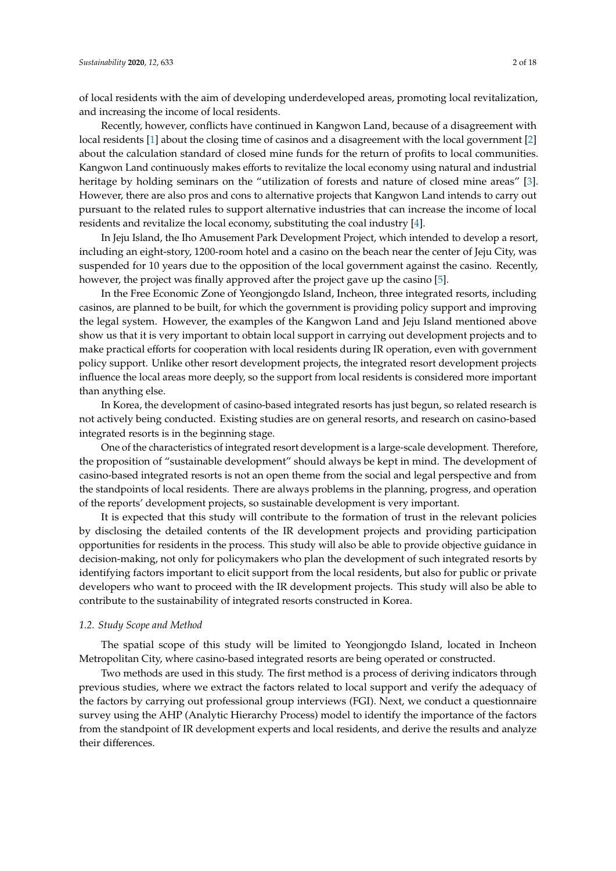of local residents with the aim of developing underdeveloped areas, promoting local revitalization, and increasing the income of local residents.

Recently, however, conflicts have continued in Kangwon Land, because of a disagreement with local residents [\[1\]](#page-15-0) about the closing time of casinos and a disagreement with the local government [\[2\]](#page-15-1) about the calculation standard of closed mine funds for the return of profits to local communities. Kangwon Land continuously makes efforts to revitalize the local economy using natural and industrial heritage by holding seminars on the "utilization of forests and nature of closed mine areas" [\[3\]](#page-15-2). However, there are also pros and cons to alternative projects that Kangwon Land intends to carry out pursuant to the related rules to support alternative industries that can increase the income of local residents and revitalize the local economy, substituting the coal industry [\[4\]](#page-15-3).

In Jeju Island, the Iho Amusement Park Development Project, which intended to develop a resort, including an eight-story, 1200-room hotel and a casino on the beach near the center of Jeju City, was suspended for 10 years due to the opposition of the local government against the casino. Recently, however, the project was finally approved after the project gave up the casino [\[5\]](#page-15-4).

In the Free Economic Zone of Yeongjongdo Island, Incheon, three integrated resorts, including casinos, are planned to be built, for which the government is providing policy support and improving the legal system. However, the examples of the Kangwon Land and Jeju Island mentioned above show us that it is very important to obtain local support in carrying out development projects and to make practical efforts for cooperation with local residents during IR operation, even with government policy support. Unlike other resort development projects, the integrated resort development projects influence the local areas more deeply, so the support from local residents is considered more important than anything else.

In Korea, the development of casino-based integrated resorts has just begun, so related research is not actively being conducted. Existing studies are on general resorts, and research on casino-based integrated resorts is in the beginning stage.

One of the characteristics of integrated resort development is a large-scale development. Therefore, the proposition of "sustainable development" should always be kept in mind. The development of casino-based integrated resorts is not an open theme from the social and legal perspective and from the standpoints of local residents. There are always problems in the planning, progress, and operation of the reports' development projects, so sustainable development is very important.

It is expected that this study will contribute to the formation of trust in the relevant policies by disclosing the detailed contents of the IR development projects and providing participation opportunities for residents in the process. This study will also be able to provide objective guidance in decision-making, not only for policymakers who plan the development of such integrated resorts by identifying factors important to elicit support from the local residents, but also for public or private developers who want to proceed with the IR development projects. This study will also be able to contribute to the sustainability of integrated resorts constructed in Korea.

#### *1.2. Study Scope and Method*

The spatial scope of this study will be limited to Yeongjongdo Island, located in Incheon Metropolitan City, where casino-based integrated resorts are being operated or constructed.

Two methods are used in this study. The first method is a process of deriving indicators through previous studies, where we extract the factors related to local support and verify the adequacy of the factors by carrying out professional group interviews (FGI). Next, we conduct a questionnaire survey using the AHP (Analytic Hierarchy Process) model to identify the importance of the factors from the standpoint of IR development experts and local residents, and derive the results and analyze their differences.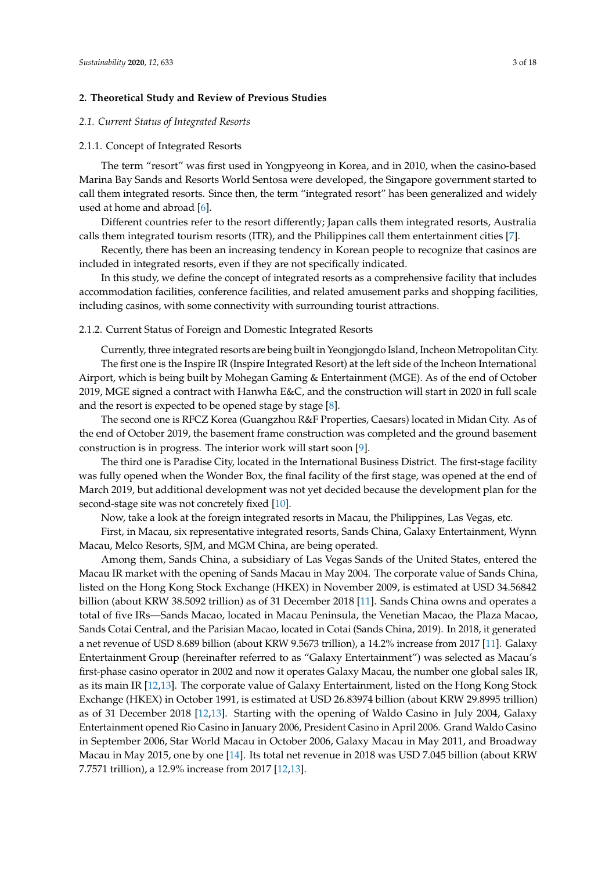## **2. Theoretical Study and Review of Previous Studies**

#### *2.1. Current Status of Integrated Resorts*

#### 2.1.1. Concept of Integrated Resorts

The term "resort" was first used in Yongpyeong in Korea, and in 2010, when the casino-based Marina Bay Sands and Resorts World Sentosa were developed, the Singapore government started to call them integrated resorts. Since then, the term "integrated resort" has been generalized and widely used at home and abroad [\[6\]](#page-15-5).

Different countries refer to the resort differently; Japan calls them integrated resorts, Australia calls them integrated tourism resorts (ITR), and the Philippines call them entertainment cities [\[7\]](#page-15-6).

Recently, there has been an increasing tendency in Korean people to recognize that casinos are included in integrated resorts, even if they are not specifically indicated.

In this study, we define the concept of integrated resorts as a comprehensive facility that includes accommodation facilities, conference facilities, and related amusement parks and shopping facilities, including casinos, with some connectivity with surrounding tourist attractions.

#### 2.1.2. Current Status of Foreign and Domestic Integrated Resorts

Currently, three integrated resorts are being built in Yeongjongdo Island, Incheon Metropolitan City. The first one is the Inspire IR (Inspire Integrated Resort) at the left side of the Incheon International Airport, which is being built by Mohegan Gaming & Entertainment (MGE). As of the end of October 2019, MGE signed a contract with Hanwha E&C, and the construction will start in 2020 in full scale and the resort is expected to be opened stage by stage [\[8\]](#page-15-7).

The second one is RFCZ Korea (Guangzhou R&F Properties, Caesars) located in Midan City. As of the end of October 2019, the basement frame construction was completed and the ground basement construction is in progress. The interior work will start soon [\[9\]](#page-15-8).

The third one is Paradise City, located in the International Business District. The first-stage facility was fully opened when the Wonder Box, the final facility of the first stage, was opened at the end of March 2019, but additional development was not yet decided because the development plan for the second-stage site was not concretely fixed [\[10\]](#page-15-9).

Now, take a look at the foreign integrated resorts in Macau, the Philippines, Las Vegas, etc.

First, in Macau, six representative integrated resorts, Sands China, Galaxy Entertainment, Wynn Macau, Melco Resorts, SJM, and MGM China, are being operated.

Among them, Sands China, a subsidiary of Las Vegas Sands of the United States, entered the Macau IR market with the opening of Sands Macau in May 2004. The corporate value of Sands China, listed on the Hong Kong Stock Exchange (HKEX) in November 2009, is estimated at USD 34.56842 billion (about KRW 38.5092 trillion) as of 31 December 2018 [\[11\]](#page-15-10). Sands China owns and operates a total of five IRs—Sands Macao, located in Macau Peninsula, the Venetian Macao, the Plaza Macao, Sands Cotai Central, and the Parisian Macao, located in Cotai (Sands China, 2019). In 2018, it generated a net revenue of USD 8.689 billion (about KRW 9.5673 trillion), a 14.2% increase from 2017 [\[11\]](#page-15-10). Galaxy Entertainment Group (hereinafter referred to as "Galaxy Entertainment") was selected as Macau's first-phase casino operator in 2002 and now it operates Galaxy Macau, the number one global sales IR, as its main IR [\[12](#page-15-11)[,13\]](#page-15-12). The corporate value of Galaxy Entertainment, listed on the Hong Kong Stock Exchange (HKEX) in October 1991, is estimated at USD 26.83974 billion (about KRW 29.8995 trillion) as of 31 December 2018 [\[12,](#page-15-11)[13\]](#page-15-12). Starting with the opening of Waldo Casino in July 2004, Galaxy Entertainment opened Rio Casino in January 2006, President Casino in April 2006. Grand Waldo Casino in September 2006, Star World Macau in October 2006, Galaxy Macau in May 2011, and Broadway Macau in May 2015, one by one [\[14\]](#page-15-13). Its total net revenue in 2018 was USD 7.045 billion (about KRW 7.7571 trillion), a 12.9% increase from 2017 [\[12,](#page-15-11)[13\]](#page-15-12).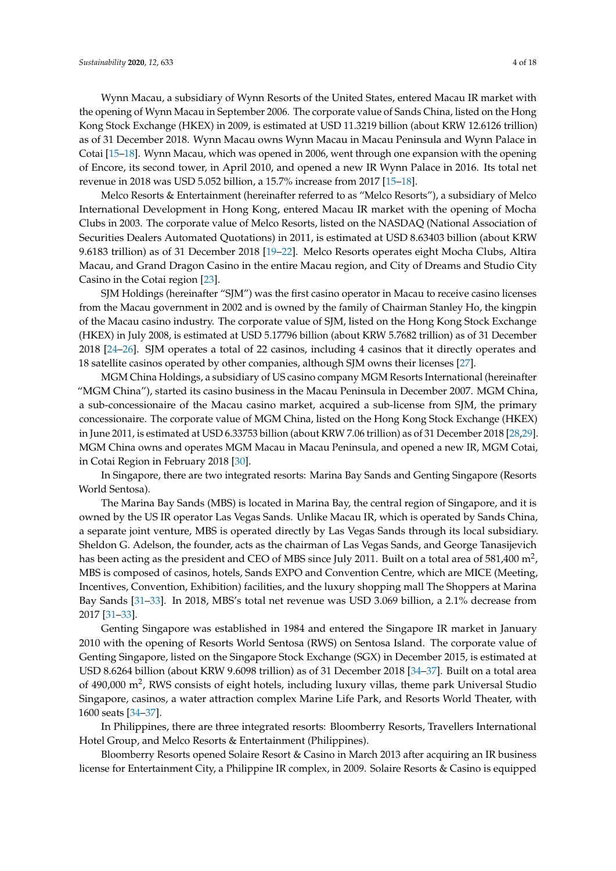Wynn Macau, a subsidiary of Wynn Resorts of the United States, entered Macau IR market with the opening of Wynn Macau in September 2006. The corporate value of Sands China, listed on the Hong Kong Stock Exchange (HKEX) in 2009, is estimated at USD 11.3219 billion (about KRW 12.6126 trillion) as of 31 December 2018. Wynn Macau owns Wynn Macau in Macau Peninsula and Wynn Palace in Cotai [\[15](#page-15-14)[–18\]](#page-16-0). Wynn Macau, which was opened in 2006, went through one expansion with the opening of Encore, its second tower, in April 2010, and opened a new IR Wynn Palace in 2016. Its total net revenue in 2018 was USD 5.052 billion, a 15.7% increase from 2017 [\[15–](#page-15-14)[18\]](#page-16-0).

Melco Resorts & Entertainment (hereinafter referred to as "Melco Resorts"), a subsidiary of Melco International Development in Hong Kong, entered Macau IR market with the opening of Mocha Clubs in 2003. The corporate value of Melco Resorts, listed on the NASDAQ (National Association of Securities Dealers Automated Quotations) in 2011, is estimated at USD 8.63403 billion (about KRW 9.6183 trillion) as of 31 December 2018 [\[19](#page-16-1)[–22\]](#page-16-2). Melco Resorts operates eight Mocha Clubs, Altira Macau, and Grand Dragon Casino in the entire Macau region, and City of Dreams and Studio City Casino in the Cotai region [\[23\]](#page-16-3).

SJM Holdings (hereinafter "SJM") was the first casino operator in Macau to receive casino licenses from the Macau government in 2002 and is owned by the family of Chairman Stanley Ho, the kingpin of the Macau casino industry. The corporate value of SJM, listed on the Hong Kong Stock Exchange (HKEX) in July 2008, is estimated at USD 5.17796 billion (about KRW 5.7682 trillion) as of 31 December 2018 [\[24–](#page-16-4)[26\]](#page-16-5). SJM operates a total of 22 casinos, including 4 casinos that it directly operates and 18 satellite casinos operated by other companies, although SJM owns their licenses [\[27\]](#page-16-6).

MGM China Holdings, a subsidiary of US casino company MGM Resorts International (hereinafter "MGM China"), started its casino business in the Macau Peninsula in December 2007. MGM China, a sub-concessionaire of the Macau casino market, acquired a sub-license from SJM, the primary concessionaire. The corporate value of MGM China, listed on the Hong Kong Stock Exchange (HKEX) in June 2011, is estimated at USD 6.33753 billion (about KRW 7.06 trillion) as of 31 December 2018 [\[28](#page-16-7)[,29\]](#page-16-8). MGM China owns and operates MGM Macau in Macau Peninsula, and opened a new IR, MGM Cotai, in Cotai Region in February 2018 [\[30\]](#page-16-9).

In Singapore, there are two integrated resorts: Marina Bay Sands and Genting Singapore (Resorts World Sentosa).

The Marina Bay Sands (MBS) is located in Marina Bay, the central region of Singapore, and it is owned by the US IR operator Las Vegas Sands. Unlike Macau IR, which is operated by Sands China, a separate joint venture, MBS is operated directly by Las Vegas Sands through its local subsidiary. Sheldon G. Adelson, the founder, acts as the chairman of Las Vegas Sands, and George Tanasijevich has been acting as the president and CEO of MBS since July 2011. Built on a total area of 581,400 m<sup>2</sup>, MBS is composed of casinos, hotels, Sands EXPO and Convention Centre, which are MICE (Meeting, Incentives, Convention, Exhibition) facilities, and the luxury shopping mall The Shoppers at Marina Bay Sands [\[31](#page-16-10)[–33\]](#page-16-11). In 2018, MBS's total net revenue was USD 3.069 billion, a 2.1% decrease from 2017 [\[31](#page-16-10)[–33\]](#page-16-11).

Genting Singapore was established in 1984 and entered the Singapore IR market in January 2010 with the opening of Resorts World Sentosa (RWS) on Sentosa Island. The corporate value of Genting Singapore, listed on the Singapore Stock Exchange (SGX) in December 2015, is estimated at USD 8.6264 billion (about KRW 9.6098 trillion) as of 31 December 2018 [\[34](#page-16-12)[–37\]](#page-16-13). Built on a total area of 490,000 m<sup>2</sup>, RWS consists of eight hotels, including luxury villas, theme park Universal Studio Singapore, casinos, a water attraction complex Marine Life Park, and Resorts World Theater, with 1600 seats [\[34–](#page-16-12)[37\]](#page-16-13).

In Philippines, there are three integrated resorts: Bloomberry Resorts, Travellers International Hotel Group, and Melco Resorts & Entertainment (Philippines).

Bloomberry Resorts opened Solaire Resort & Casino in March 2013 after acquiring an IR business license for Entertainment City, a Philippine IR complex, in 2009. Solaire Resorts & Casino is equipped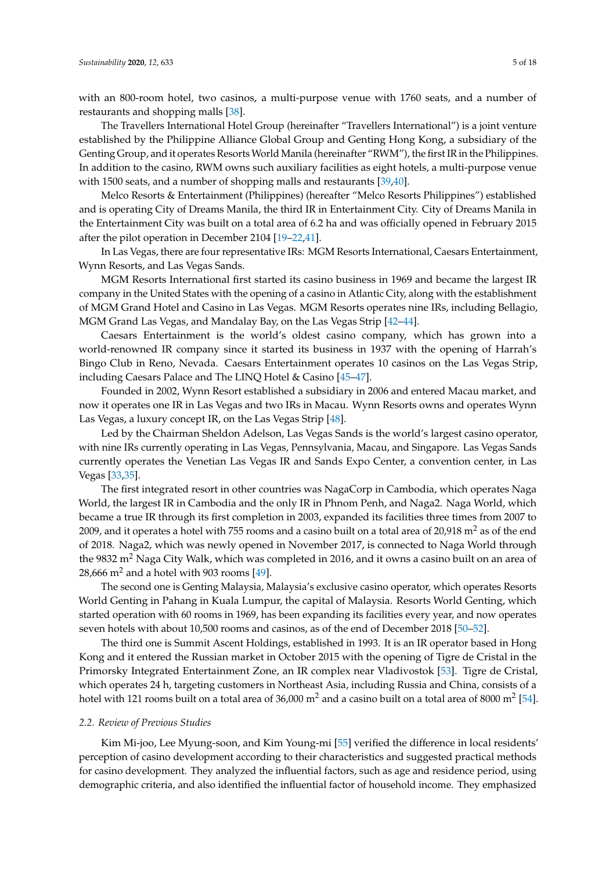with an 800-room hotel, two casinos, a multi-purpose venue with 1760 seats, and a number of restaurants and shopping malls [\[38\]](#page-16-14).

The Travellers International Hotel Group (hereinafter "Travellers International") is a joint venture established by the Philippine Alliance Global Group and Genting Hong Kong, a subsidiary of the Genting Group, and it operates Resorts World Manila (hereinafter "RWM"), the first IR in the Philippines. In addition to the casino, RWM owns such auxiliary facilities as eight hotels, a multi-purpose venue with 1500 seats, and a number of shopping malls and restaurants [\[39](#page-16-15)[,40\]](#page-16-16).

Melco Resorts & Entertainment (Philippines) (hereafter "Melco Resorts Philippines") established and is operating City of Dreams Manila, the third IR in Entertainment City. City of Dreams Manila in the Entertainment City was built on a total area of 6.2 ha and was officially opened in February 2015 after the pilot operation in December 2104 [\[19–](#page-16-1)[22,](#page-16-2)[41\]](#page-16-17).

In Las Vegas, there are four representative IRs: MGM Resorts International, Caesars Entertainment, Wynn Resorts, and Las Vegas Sands.

MGM Resorts International first started its casino business in 1969 and became the largest IR company in the United States with the opening of a casino in Atlantic City, along with the establishment of MGM Grand Hotel and Casino in Las Vegas. MGM Resorts operates nine IRs, including Bellagio, MGM Grand Las Vegas, and Mandalay Bay, on the Las Vegas Strip [\[42–](#page-16-18)[44\]](#page-16-19).

Caesars Entertainment is the world's oldest casino company, which has grown into a world-renowned IR company since it started its business in 1937 with the opening of Harrah's Bingo Club in Reno, Nevada. Caesars Entertainment operates 10 casinos on the Las Vegas Strip, including Caesars Palace and The LINQ Hotel & Casino [\[45–](#page-16-20)[47\]](#page-16-21).

Founded in 2002, Wynn Resort established a subsidiary in 2006 and entered Macau market, and now it operates one IR in Las Vegas and two IRs in Macau. Wynn Resorts owns and operates Wynn Las Vegas, a luxury concept IR, on the Las Vegas Strip [\[48\]](#page-16-22).

Led by the Chairman Sheldon Adelson, Las Vegas Sands is the world's largest casino operator, with nine IRs currently operating in Las Vegas, Pennsylvania, Macau, and Singapore. Las Vegas Sands currently operates the Venetian Las Vegas IR and Sands Expo Center, a convention center, in Las Vegas [\[33,](#page-16-11)[35\]](#page-16-23).

The first integrated resort in other countries was NagaCorp in Cambodia, which operates Naga World, the largest IR in Cambodia and the only IR in Phnom Penh, and Naga2. Naga World, which became a true IR through its first completion in 2003, expanded its facilities three times from 2007 to 2009, and it operates a hotel with 755 rooms and a casino built on a total area of  $20,918$  m<sup>2</sup> as of the end of 2018. Naga2, which was newly opened in November 2017, is connected to Naga World through the 9832 m<sup>2</sup> Naga City Walk, which was completed in 2016, and it owns a casino built on an area of 28,666  $m<sup>2</sup>$  and a hotel with 903 rooms [\[49\]](#page-17-0).

The second one is Genting Malaysia, Malaysia's exclusive casino operator, which operates Resorts World Genting in Pahang in Kuala Lumpur, the capital of Malaysia. Resorts World Genting, which started operation with 60 rooms in 1969, has been expanding its facilities every year, and now operates seven hotels with about 10,500 rooms and casinos, as of the end of December 2018 [\[50](#page-17-1)[–52\]](#page-17-2).

The third one is Summit Ascent Holdings, established in 1993. It is an IR operator based in Hong Kong and it entered the Russian market in October 2015 with the opening of Tigre de Cristal in the Primorsky Integrated Entertainment Zone, an IR complex near Vladivostok [\[53\]](#page-17-3). Tigre de Cristal, which operates 24 h, targeting customers in Northeast Asia, including Russia and China, consists of a hotel with 121 rooms built on a total area of 36,000 m<sup>2</sup> and a casino built on a total area of 8000 m<sup>2</sup> [\[54\]](#page-17-4).

#### *2.2. Review of Previous Studies*

Kim Mi-joo, Lee Myung-soon, and Kim Young-mi [\[55\]](#page-17-5) verified the difference in local residents' perception of casino development according to their characteristics and suggested practical methods for casino development. They analyzed the influential factors, such as age and residence period, using demographic criteria, and also identified the influential factor of household income. They emphasized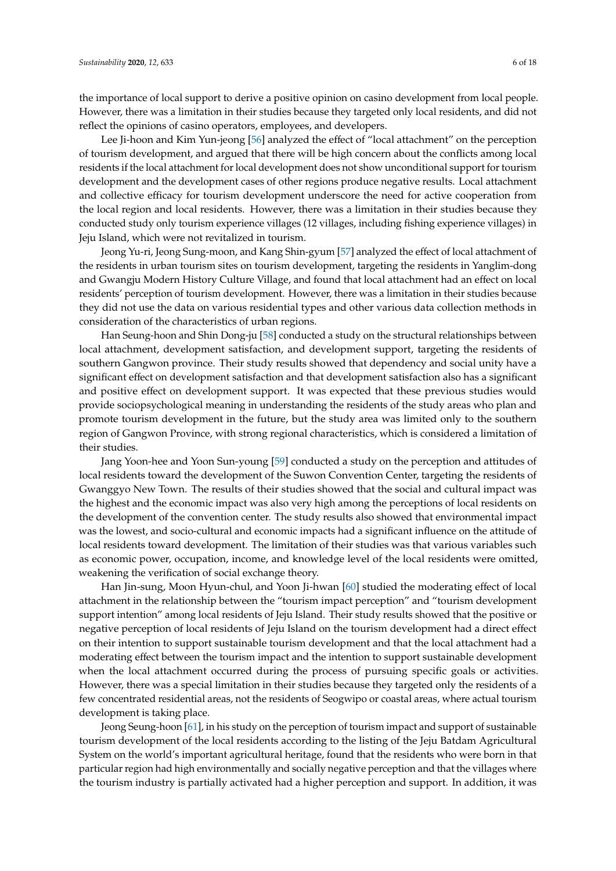the importance of local support to derive a positive opinion on casino development from local people. However, there was a limitation in their studies because they targeted only local residents, and did not reflect the opinions of casino operators, employees, and developers.

Lee Ji-hoon and Kim Yun-jeong [\[56\]](#page-17-6) analyzed the effect of "local attachment" on the perception of tourism development, and argued that there will be high concern about the conflicts among local residents if the local attachment for local development does not show unconditional support for tourism development and the development cases of other regions produce negative results. Local attachment and collective efficacy for tourism development underscore the need for active cooperation from the local region and local residents. However, there was a limitation in their studies because they conducted study only tourism experience villages (12 villages, including fishing experience villages) in Jeju Island, which were not revitalized in tourism.

Jeong Yu-ri, Jeong Sung-moon, and Kang Shin-gyum [\[57\]](#page-17-7) analyzed the effect of local attachment of the residents in urban tourism sites on tourism development, targeting the residents in Yanglim-dong and Gwangju Modern History Culture Village, and found that local attachment had an effect on local residents' perception of tourism development. However, there was a limitation in their studies because they did not use the data on various residential types and other various data collection methods in consideration of the characteristics of urban regions.

Han Seung-hoon and Shin Dong-ju [\[58\]](#page-17-8) conducted a study on the structural relationships between local attachment, development satisfaction, and development support, targeting the residents of southern Gangwon province. Their study results showed that dependency and social unity have a significant effect on development satisfaction and that development satisfaction also has a significant and positive effect on development support. It was expected that these previous studies would provide sociopsychological meaning in understanding the residents of the study areas who plan and promote tourism development in the future, but the study area was limited only to the southern region of Gangwon Province, with strong regional characteristics, which is considered a limitation of their studies.

Jang Yoon-hee and Yoon Sun-young [\[59\]](#page-17-9) conducted a study on the perception and attitudes of local residents toward the development of the Suwon Convention Center, targeting the residents of Gwanggyo New Town. The results of their studies showed that the social and cultural impact was the highest and the economic impact was also very high among the perceptions of local residents on the development of the convention center. The study results also showed that environmental impact was the lowest, and socio-cultural and economic impacts had a significant influence on the attitude of local residents toward development. The limitation of their studies was that various variables such as economic power, occupation, income, and knowledge level of the local residents were omitted, weakening the verification of social exchange theory.

Han Jin-sung, Moon Hyun-chul, and Yoon Ji-hwan [\[60\]](#page-17-10) studied the moderating effect of local attachment in the relationship between the "tourism impact perception" and "tourism development support intention" among local residents of Jeju Island. Their study results showed that the positive or negative perception of local residents of Jeju Island on the tourism development had a direct effect on their intention to support sustainable tourism development and that the local attachment had a moderating effect between the tourism impact and the intention to support sustainable development when the local attachment occurred during the process of pursuing specific goals or activities. However, there was a special limitation in their studies because they targeted only the residents of a few concentrated residential areas, not the residents of Seogwipo or coastal areas, where actual tourism development is taking place.

Jeong Seung-hoon [\[61\]](#page-17-11), in his study on the perception of tourism impact and support of sustainable tourism development of the local residents according to the listing of the Jeju Batdam Agricultural System on the world's important agricultural heritage, found that the residents who were born in that particular region had high environmentally and socially negative perception and that the villages where the tourism industry is partially activated had a higher perception and support. In addition, it was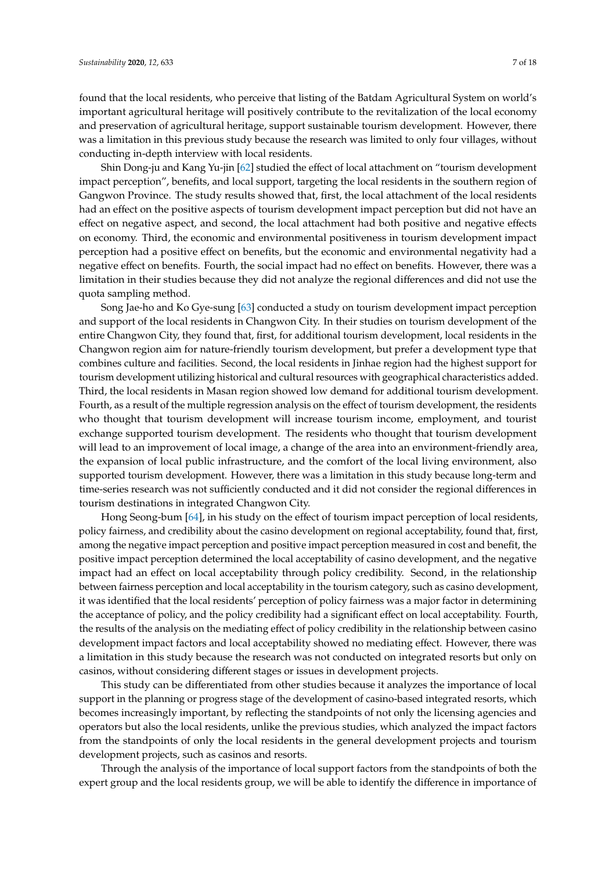found that the local residents, who perceive that listing of the Batdam Agricultural System on world's important agricultural heritage will positively contribute to the revitalization of the local economy and preservation of agricultural heritage, support sustainable tourism development. However, there was a limitation in this previous study because the research was limited to only four villages, without conducting in-depth interview with local residents.

Shin Dong-ju and Kang Yu-jin [\[62\]](#page-17-12) studied the effect of local attachment on "tourism development impact perception", benefits, and local support, targeting the local residents in the southern region of Gangwon Province. The study results showed that, first, the local attachment of the local residents had an effect on the positive aspects of tourism development impact perception but did not have an effect on negative aspect, and second, the local attachment had both positive and negative effects on economy. Third, the economic and environmental positiveness in tourism development impact perception had a positive effect on benefits, but the economic and environmental negativity had a negative effect on benefits. Fourth, the social impact had no effect on benefits. However, there was a limitation in their studies because they did not analyze the regional differences and did not use the quota sampling method.

Song Jae-ho and Ko Gye-sung [\[63\]](#page-17-13) conducted a study on tourism development impact perception and support of the local residents in Changwon City. In their studies on tourism development of the entire Changwon City, they found that, first, for additional tourism development, local residents in the Changwon region aim for nature-friendly tourism development, but prefer a development type that combines culture and facilities. Second, the local residents in Jinhae region had the highest support for tourism development utilizing historical and cultural resources with geographical characteristics added. Third, the local residents in Masan region showed low demand for additional tourism development. Fourth, as a result of the multiple regression analysis on the effect of tourism development, the residents who thought that tourism development will increase tourism income, employment, and tourist exchange supported tourism development. The residents who thought that tourism development will lead to an improvement of local image, a change of the area into an environment-friendly area, the expansion of local public infrastructure, and the comfort of the local living environment, also supported tourism development. However, there was a limitation in this study because long-term and time-series research was not sufficiently conducted and it did not consider the regional differences in tourism destinations in integrated Changwon City.

Hong Seong-bum [\[64\]](#page-17-14), in his study on the effect of tourism impact perception of local residents, policy fairness, and credibility about the casino development on regional acceptability, found that, first, among the negative impact perception and positive impact perception measured in cost and benefit, the positive impact perception determined the local acceptability of casino development, and the negative impact had an effect on local acceptability through policy credibility. Second, in the relationship between fairness perception and local acceptability in the tourism category, such as casino development, it was identified that the local residents' perception of policy fairness was a major factor in determining the acceptance of policy, and the policy credibility had a significant effect on local acceptability. Fourth, the results of the analysis on the mediating effect of policy credibility in the relationship between casino development impact factors and local acceptability showed no mediating effect. However, there was a limitation in this study because the research was not conducted on integrated resorts but only on casinos, without considering different stages or issues in development projects.

This study can be differentiated from other studies because it analyzes the importance of local support in the planning or progress stage of the development of casino-based integrated resorts, which becomes increasingly important, by reflecting the standpoints of not only the licensing agencies and operators but also the local residents, unlike the previous studies, which analyzed the impact factors from the standpoints of only the local residents in the general development projects and tourism development projects, such as casinos and resorts.

Through the analysis of the importance of local support factors from the standpoints of both the expert group and the local residents group, we will be able to identify the difference in importance of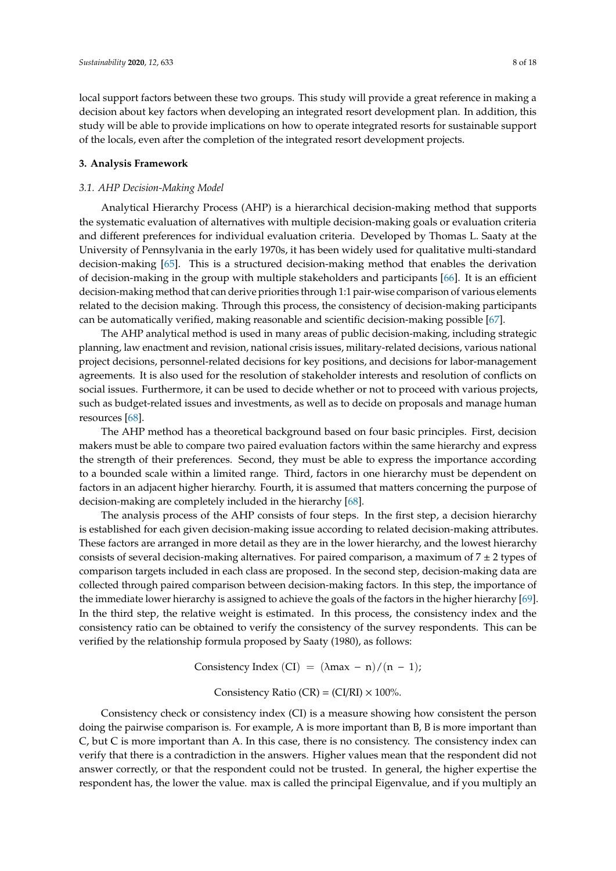local support factors between these two groups. This study will provide a great reference in making a decision about key factors when developing an integrated resort development plan. In addition, this study will be able to provide implications on how to operate integrated resorts for sustainable support of the locals, even after the completion of the integrated resort development projects.

#### **3. Analysis Framework**

## *3.1. AHP Decision-Making Model*

Analytical Hierarchy Process (AHP) is a hierarchical decision-making method that supports the systematic evaluation of alternatives with multiple decision-making goals or evaluation criteria and different preferences for individual evaluation criteria. Developed by Thomas L. Saaty at the University of Pennsylvania in the early 1970s, it has been widely used for qualitative multi-standard decision-making [\[65\]](#page-17-15). This is a structured decision-making method that enables the derivation of decision-making in the group with multiple stakeholders and participants [\[66\]](#page-17-16). It is an efficient decision-making method that can derive priorities through 1:1 pair-wise comparison of various elements related to the decision making. Through this process, the consistency of decision-making participants can be automatically verified, making reasonable and scientific decision-making possible [\[67\]](#page-17-17).

The AHP analytical method is used in many areas of public decision-making, including strategic planning, law enactment and revision, national crisis issues, military-related decisions, various national project decisions, personnel-related decisions for key positions, and decisions for labor-management agreements. It is also used for the resolution of stakeholder interests and resolution of conflicts on social issues. Furthermore, it can be used to decide whether or not to proceed with various projects, such as budget-related issues and investments, as well as to decide on proposals and manage human resources [\[68\]](#page-17-18).

The AHP method has a theoretical background based on four basic principles. First, decision makers must be able to compare two paired evaluation factors within the same hierarchy and express the strength of their preferences. Second, they must be able to express the importance according to a bounded scale within a limited range. Third, factors in one hierarchy must be dependent on factors in an adjacent higher hierarchy. Fourth, it is assumed that matters concerning the purpose of decision-making are completely included in the hierarchy [\[68\]](#page-17-18).

The analysis process of the AHP consists of four steps. In the first step, a decision hierarchy is established for each given decision-making issue according to related decision-making attributes. These factors are arranged in more detail as they are in the lower hierarchy, and the lowest hierarchy consists of several decision-making alternatives. For paired comparison, a maximum of  $7 \pm 2$  types of comparison targets included in each class are proposed. In the second step, decision-making data are collected through paired comparison between decision-making factors. In this step, the importance of the immediate lower hierarchy is assigned to achieve the goals of the factors in the higher hierarchy [\[69\]](#page-17-19). In the third step, the relative weight is estimated. In this process, the consistency index and the consistency ratio can be obtained to verify the consistency of the survey respondents. This can be verified by the relationship formula proposed by Saaty (1980), as follows:

Consistency Index (CI) =  $(\lambda max - n)/(n - 1)$ ;

Consistency Ratio (CR) = (CI/RI)  $\times$  100%.

Consistency check or consistency index (CI) is a measure showing how consistent the person doing the pairwise comparison is. For example, A is more important than B, B is more important than C, but C is more important than A. In this case, there is no consistency. The consistency index can verify that there is a contradiction in the answers. Higher values mean that the respondent did not answer correctly, or that the respondent could not be trusted. In general, the higher expertise the respondent has, the lower the value. max is called the principal Eigenvalue, and if you multiply an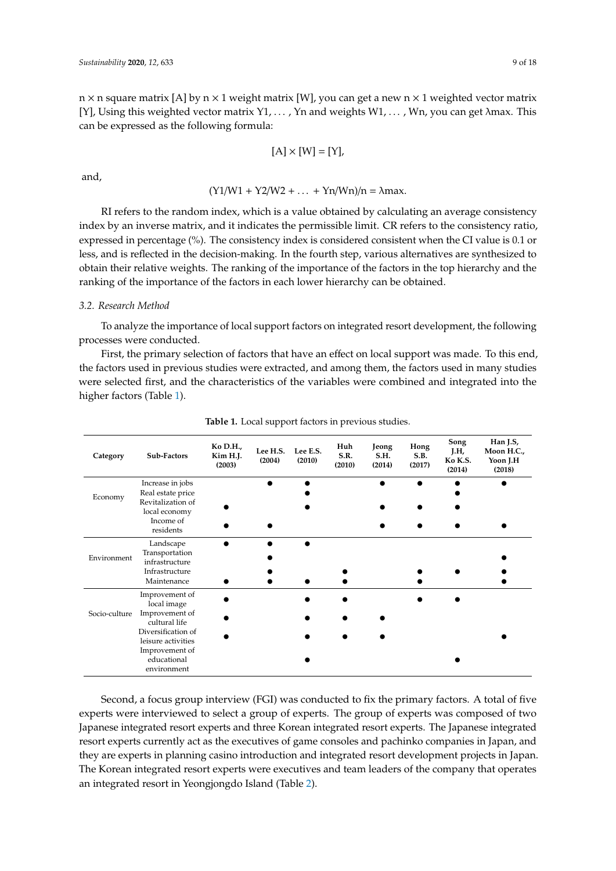$n \times n$  square matrix [A] by  $n \times 1$  weight matrix [W], you can get a new  $n \times 1$  weighted vector matrix [Y], Using this weighted vector matrix  $Y_1, \ldots, Y_n$  and weights  $W_1, \ldots, W_n$ , you can get  $\lambda$ max. This can be expressed as the following formula:

$$
[A] \times [W] = [Y],
$$

and,

## $(Y1/W1 + Y2/W2 + ... + Yn/Wn)/n = \lambda max.$

RI refers to the random index, which is a value obtained by calculating an average consistency index by an inverse matrix, and it indicates the permissible limit. CR refers to the consistency ratio, expressed in percentage (%). The consistency index is considered consistent when the CI value is 0.1 or less, and is reflected in the decision-making. In the fourth step, various alternatives are synthesized to obtain their relative weights. The ranking of the importance of the factors in the top hierarchy and the ranking of the importance of the factors in each lower hierarchy can be obtained.

## *3.2. Research Method*

To analyze the importance of local support factors on integrated resort development, the following processes were conducted.

First, the primary selection of factors that have an effect on local support was made. To this end, the factors used in previous studies were extracted, and among them, the factors used in many studies were selected first, and the characteristics of the variables were combined and integrated into the higher factors (Table [1\)](#page-8-0).

<span id="page-8-0"></span>

| Category      | Sub-Factors                                   | Ko D.H.,<br>Kim H.J.<br>(2003) | Lee H.S.<br>(2004) | Lee E.S.<br>(2010) | Huh<br>S.R.<br>(2010) | Jeong<br>S.H.<br>(2014) | Hong<br>S.B.<br>(2017) | Song<br>J.H,<br>Ko K.S.<br>(2014) | Han J.S,<br>Moon H.C.,<br>Yoon J.H<br>(2018) |
|---------------|-----------------------------------------------|--------------------------------|--------------------|--------------------|-----------------------|-------------------------|------------------------|-----------------------------------|----------------------------------------------|
| Economy       | Increase in jobs<br>Real estate price         |                                |                    |                    |                       |                         |                        |                                   |                                              |
|               | Revitalization of<br>local economy            |                                |                    |                    |                       |                         |                        |                                   |                                              |
|               | Income of<br>residents                        |                                |                    |                    |                       |                         |                        |                                   |                                              |
| Environment   | Landscape<br>Transportation<br>infrastructure |                                |                    |                    |                       |                         |                        |                                   |                                              |
|               | Infrastructure<br>Maintenance                 |                                |                    |                    |                       |                         |                        |                                   |                                              |
|               | Improvement of<br>local image                 |                                |                    |                    |                       |                         |                        |                                   |                                              |
| Socio-culture | Improvement of<br>cultural life               |                                |                    |                    |                       |                         |                        |                                   |                                              |
|               | Diversification of<br>leisure activities      |                                |                    |                    |                       |                         |                        |                                   |                                              |
|               | Improvement of<br>educational<br>environment  |                                |                    |                    |                       |                         |                        |                                   |                                              |

**Table 1.** Local support factors in previous studies.

Second, a focus group interview (FGI) was conducted to fix the primary factors. A total of five experts were interviewed to select a group of experts. The group of experts was composed of two Japanese integrated resort experts and three Korean integrated resort experts. The Japanese integrated resort experts currently act as the executives of game consoles and pachinko companies in Japan, and they are experts in planning casino introduction and integrated resort development projects in Japan. The Korean integrated resort experts were executives and team leaders of the company that operates an integrated resort in Yeongjongdo Island (Table [2\)](#page-9-0).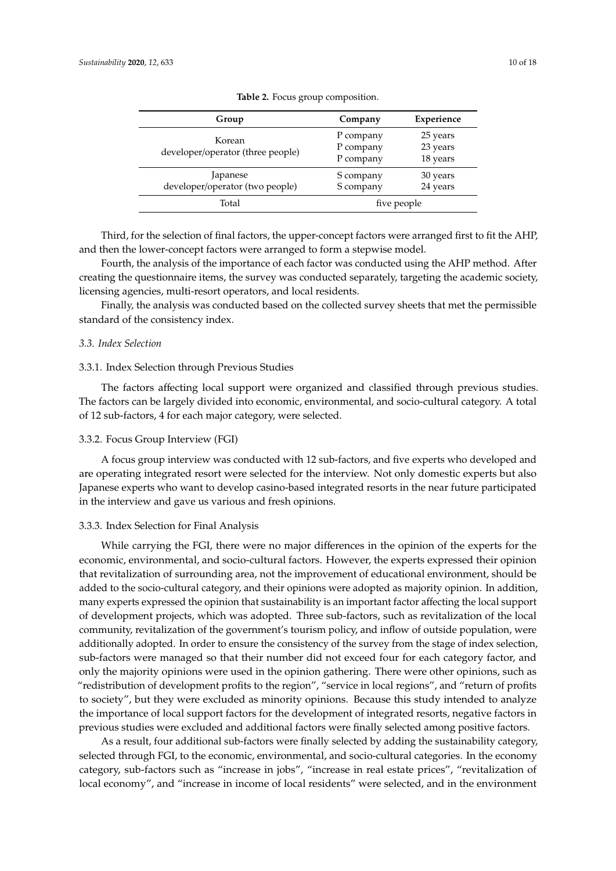<span id="page-9-0"></span>

| Group                                       | Company                             | Experience                       |  |
|---------------------------------------------|-------------------------------------|----------------------------------|--|
| Korean<br>developer/operator (three people) | P company<br>P company<br>P company | 25 years<br>23 years<br>18 years |  |
| Japanese<br>developer/operator (two people) | S company<br>S company              | 30 years<br>24 years             |  |
| Total                                       | five people                         |                                  |  |

**Table 2.** Focus group composition.

Third, for the selection of final factors, the upper-concept factors were arranged first to fit the AHP, and then the lower-concept factors were arranged to form a stepwise model.

Fourth, the analysis of the importance of each factor was conducted using the AHP method. After creating the questionnaire items, the survey was conducted separately, targeting the academic society, licensing agencies, multi-resort operators, and local residents.

Finally, the analysis was conducted based on the collected survey sheets that met the permissible standard of the consistency index.

## *3.3. Index Selection*

### 3.3.1. Index Selection through Previous Studies

The factors affecting local support were organized and classified through previous studies. The factors can be largely divided into economic, environmental, and socio-cultural category. A total of 12 sub-factors, 4 for each major category, were selected.

#### 3.3.2. Focus Group Interview (FGI)

A focus group interview was conducted with 12 sub-factors, and five experts who developed and are operating integrated resort were selected for the interview. Not only domestic experts but also Japanese experts who want to develop casino-based integrated resorts in the near future participated in the interview and gave us various and fresh opinions.

## 3.3.3. Index Selection for Final Analysis

While carrying the FGI, there were no major differences in the opinion of the experts for the economic, environmental, and socio-cultural factors. However, the experts expressed their opinion that revitalization of surrounding area, not the improvement of educational environment, should be added to the socio-cultural category, and their opinions were adopted as majority opinion. In addition, many experts expressed the opinion that sustainability is an important factor affecting the local support of development projects, which was adopted. Three sub-factors, such as revitalization of the local community, revitalization of the government's tourism policy, and inflow of outside population, were additionally adopted. In order to ensure the consistency of the survey from the stage of index selection, sub-factors were managed so that their number did not exceed four for each category factor, and only the majority opinions were used in the opinion gathering. There were other opinions, such as "redistribution of development profits to the region", "service in local regions", and "return of profits to society", but they were excluded as minority opinions. Because this study intended to analyze the importance of local support factors for the development of integrated resorts, negative factors in previous studies were excluded and additional factors were finally selected among positive factors.

As a result, four additional sub-factors were finally selected by adding the sustainability category, selected through FGI, to the economic, environmental, and socio-cultural categories. In the economy category, sub-factors such as "increase in jobs", "increase in real estate prices", "revitalization of local economy", and "increase in income of local residents" were selected, and in the environment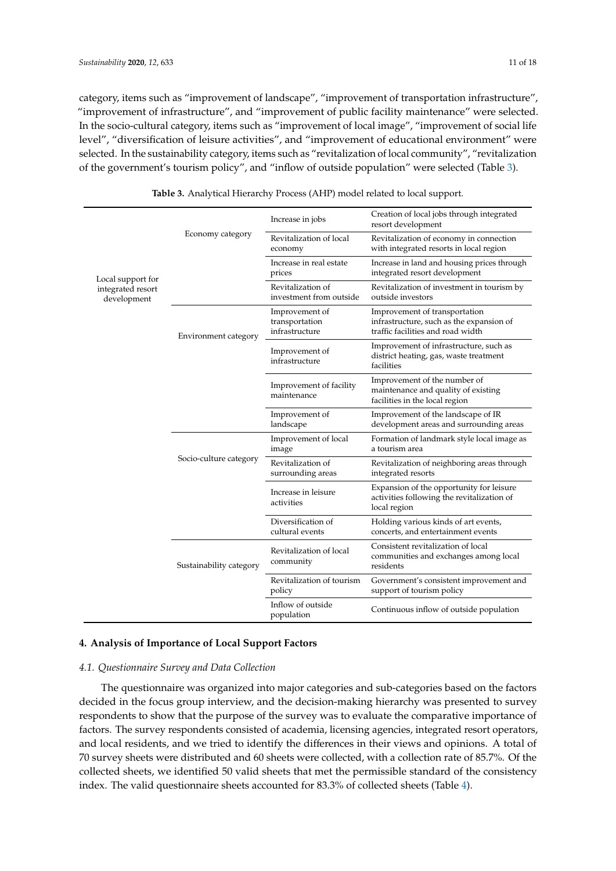category, items such as "improvement of landscape", "improvement of transportation infrastructure", "improvement of infrastructure", and "improvement of public facility maintenance" were selected. In the socio-cultural category, items such as "improvement of local image", "improvement of social life level", "diversification of leisure activities", and "improvement of educational environment" were selected. In the sustainability category, items such as "revitalization of local community", "revitalization of the government's tourism policy", and "inflow of outside population" were selected (Table [3\)](#page-10-0).

<span id="page-10-0"></span>

|                                  |                         | Increase in jobs                                   | Creation of local jobs through integrated<br>resort development                                                |  |
|----------------------------------|-------------------------|----------------------------------------------------|----------------------------------------------------------------------------------------------------------------|--|
|                                  | Economy category        | Revitalization of local<br>economy                 | Revitalization of economy in connection<br>with integrated resorts in local region                             |  |
| Local support for                |                         | Increase in real estate<br>prices                  | Increase in land and housing prices through<br>integrated resort development                                   |  |
| integrated resort<br>development |                         | Revitalization of<br>investment from outside       | Revitalization of investment in tourism by<br>outside investors                                                |  |
|                                  | Environment category    | Improvement of<br>transportation<br>infrastructure | Improvement of transportation<br>infrastructure, such as the expansion of<br>traffic facilities and road width |  |
|                                  |                         | Improvement of<br>infrastructure                   | Improvement of infrastructure, such as<br>district heating, gas, waste treatment<br>facilities                 |  |
|                                  |                         | Improvement of facility<br>maintenance             | Improvement of the number of<br>maintenance and quality of existing<br>facilities in the local region          |  |
|                                  |                         | Improvement of<br>landscape                        | Improvement of the landscape of IR<br>development areas and surrounding areas                                  |  |
|                                  |                         | Improvement of local<br>image                      | Formation of landmark style local image as<br>a tourism area                                                   |  |
|                                  | Socio-culture category  | Revitalization of<br>surrounding areas             | Revitalization of neighboring areas through<br>integrated resorts                                              |  |
|                                  |                         | Increase in leisure<br>activities                  | Expansion of the opportunity for leisure<br>activities following the revitalization of<br>local region         |  |
|                                  |                         | Diversification of<br>cultural events              | Holding various kinds of art events,<br>concerts, and entertainment events                                     |  |
|                                  | Sustainability category | Revitalization of local<br>community               | Consistent revitalization of local<br>communities and exchanges among local<br>residents                       |  |
|                                  |                         | Revitalization of tourism<br>policy                | Government's consistent improvement and<br>support of tourism policy                                           |  |
|                                  |                         | Inflow of outside<br>population                    | Continuous inflow of outside population                                                                        |  |

**Table 3.** Analytical Hierarchy Process (AHP) model related to local support.

## **4. Analysis of Importance of Local Support Factors**

#### *4.1. Questionnaire Survey and Data Collection*

The questionnaire was organized into major categories and sub-categories based on the factors decided in the focus group interview, and the decision-making hierarchy was presented to survey respondents to show that the purpose of the survey was to evaluate the comparative importance of factors. The survey respondents consisted of academia, licensing agencies, integrated resort operators, and local residents, and we tried to identify the differences in their views and opinions. A total of 70 survey sheets were distributed and 60 sheets were collected, with a collection rate of 85.7%. Of the collected sheets, we identified 50 valid sheets that met the permissible standard of the consistency index. The valid questionnaire sheets accounted for 83.3% of collected sheets (Table [4\)](#page-11-0).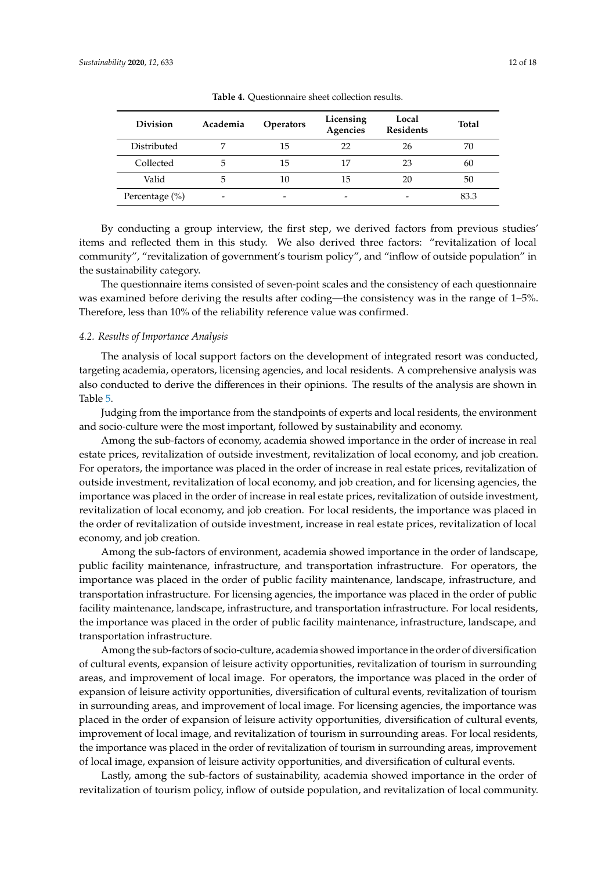<span id="page-11-0"></span>

| <b>Division</b> | Academia | <b>Operators</b> | Licensing<br>Agencies | Local<br><b>Residents</b> | <b>Total</b> |
|-----------------|----------|------------------|-----------------------|---------------------------|--------------|
| Distributed     |          | 15               | 22                    | 26                        | 70           |
| Collected       | 5        | 15               | 17                    | 23                        | 60           |
| Valid           | 5        | 10               | 15                    | 20                        | 50           |
| Percentage (%)  | -        | -                | -                     |                           | 83.3         |

**Table 4.** Questionnaire sheet collection results.

By conducting a group interview, the first step, we derived factors from previous studies' items and reflected them in this study. We also derived three factors: "revitalization of local community", "revitalization of government's tourism policy", and "inflow of outside population" in the sustainability category.

The questionnaire items consisted of seven-point scales and the consistency of each questionnaire was examined before deriving the results after coding—the consistency was in the range of 1–5%. Therefore, less than 10% of the reliability reference value was confirmed.

### *4.2. Results of Importance Analysis*

The analysis of local support factors on the development of integrated resort was conducted, targeting academia, operators, licensing agencies, and local residents. A comprehensive analysis was also conducted to derive the differences in their opinions. The results of the analysis are shown in Table [5.](#page-12-0)

Judging from the importance from the standpoints of experts and local residents, the environment and socio-culture were the most important, followed by sustainability and economy.

Among the sub-factors of economy, academia showed importance in the order of increase in real estate prices, revitalization of outside investment, revitalization of local economy, and job creation. For operators, the importance was placed in the order of increase in real estate prices, revitalization of outside investment, revitalization of local economy, and job creation, and for licensing agencies, the importance was placed in the order of increase in real estate prices, revitalization of outside investment, revitalization of local economy, and job creation. For local residents, the importance was placed in the order of revitalization of outside investment, increase in real estate prices, revitalization of local economy, and job creation.

Among the sub-factors of environment, academia showed importance in the order of landscape, public facility maintenance, infrastructure, and transportation infrastructure. For operators, the importance was placed in the order of public facility maintenance, landscape, infrastructure, and transportation infrastructure. For licensing agencies, the importance was placed in the order of public facility maintenance, landscape, infrastructure, and transportation infrastructure. For local residents, the importance was placed in the order of public facility maintenance, infrastructure, landscape, and transportation infrastructure.

Among the sub-factors of socio-culture, academia showed importance in the order of diversification of cultural events, expansion of leisure activity opportunities, revitalization of tourism in surrounding areas, and improvement of local image. For operators, the importance was placed in the order of expansion of leisure activity opportunities, diversification of cultural events, revitalization of tourism in surrounding areas, and improvement of local image. For licensing agencies, the importance was placed in the order of expansion of leisure activity opportunities, diversification of cultural events, improvement of local image, and revitalization of tourism in surrounding areas. For local residents, the importance was placed in the order of revitalization of tourism in surrounding areas, improvement of local image, expansion of leisure activity opportunities, and diversification of cultural events.

Lastly, among the sub-factors of sustainability, academia showed importance in the order of revitalization of tourism policy, inflow of outside population, and revitalization of local community.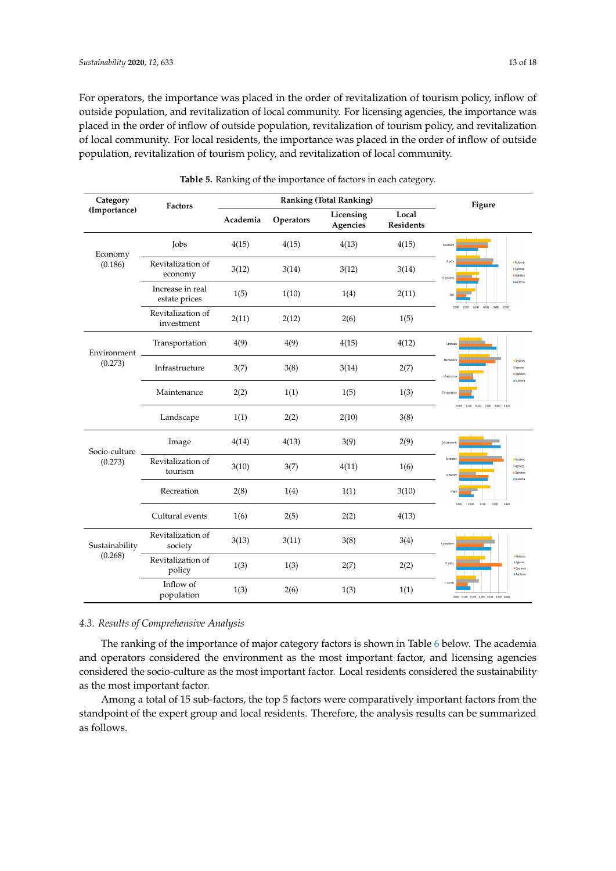For operators, the importance was placed in the order of revitalization of tourism policy, inflow of outside population, and revitalization of local community. For licensing agencies, the importance was placed in the order of inflow of outside population, revitalization of tourism policy, and revitalization of local community. For local residents, the importance was placed in the order of inflow of outside population, revitalization of tourism policy, and revitalization of local community. placed in the order of revitalization of tourism policy, inflow de population, revitalization of tourism policy, and revi de population, revitalization of tourism policy, and revitalization to the immersion correct details policy, and revitalization of local community. poncy, and revitalization of local community.

<span id="page-12-0"></span>

| Category                  | <b>Factors</b>                    |          | <b>Ranking (Total Ranking)</b> | Figure                |                           |                                                                                                |
|---------------------------|-----------------------------------|----------|--------------------------------|-----------------------|---------------------------|------------------------------------------------------------------------------------------------|
| (Importance)              |                                   | Academia | Operators                      | Licensing<br>Agencies | Local<br><b>Residents</b> |                                                                                                |
| Economy<br>(0.186)        | <b>Jobs</b>                       | 4(15)    | 4(15)                          | 4(13)                 | 4(15)                     | Investmen                                                                                      |
|                           | Revitalization of<br>economy      | 3(12)    | 3(14)                          | 3(12)                 | 3(14)                     | R orig<br><b>Besidents</b><br>Il Agencies<br><b>D</b> Operators<br>R. econo<br>a Arademia      |
|                           | Increase in real<br>estate prices | 1(5)     | 1(10)                          | 1(4)                  | 2(11)                     | kbs                                                                                            |
|                           | Revitalization of<br>investment   | 2(11)    | 2(12)                          | 2(6)                  | 1(5)                      | 0.300 0.400 0.500<br>0.000<br>0.100<br>0.200                                                   |
| Environment<br>(0.273)    | Transportation                    | 4(9)     | 4(9)                           | 4(15)                 | 4(12)                     | Landscap                                                                                       |
|                           | Infrastructure                    | 3(7)     | 3(8)                           | 3(14)                 | 2(7)                      | Maintenand<br><b>Baccients</b><br>Il Agencies<br>Operators<br>Infrastructur<br><b>Academia</b> |
|                           | Maintenance                       | 2(2)     | 1(1)                           | 1(5)                  | 1(3)                      | Transportation<br>0.200 0.300 0.400 0.500<br>n con<br>0.100                                    |
|                           | Landscape                         | 1(1)     | 2(2)                           | 2(10)                 | 3(8)                      |                                                                                                |
| Socio-culture             | Image                             | 4(14)    | 4(13)                          | 3(9)                  | 2(9)                      | Cultural ev                                                                                    |
| (0.273)                   | Revitalization of<br>tourism      | 3(10)    | 3(7)                           | 4(11)                 | 1(6)                      | Recreatio<br><b>P</b> Residents<br>Il Agencies<br>Operators<br>R. tourism<br>Academia          |
|                           | Recreation                        | 2(8)     | 1(4)                           | 1(1)                  | 3(10)                     | 0.200<br>0.300<br>0.400<br>0.000<br>0.100                                                      |
|                           | Cultural events                   | 1(6)     | 2(5)                           | 2(2)                  | 4(13)                     |                                                                                                |
| Sustainability<br>(0.268) | Revitalization of<br>society      | 3(13)    | 3(11)                          | 3(8)                  | 3(4)                      | I. population                                                                                  |
|                           | Revitalization of<br>policy       | 1(3)     | 1(3)                           | 2(7)                  | 2(2)                      | <b>Besidents</b><br>Il Azendes<br>8. polic<br>Operator<br>Academia                             |
|                           | Inflow of<br>population           | 1(3)     | 2(6)                           | 1(3)                  | 1(1)                      | R. society<br>0.000 0.100 0.200 0.500 0.400 0.500 0.600                                        |

Table 5. Ranking of the importance of factors in each category. g of the importance of factors in each category. g of the importance of factors in each category.

## *4.3. Results of Comprehensive Analysis*

The ranking of the importance of major category factors is shown in Table [6](#page-13-0) below. The academia and operators considered the environment as the most important factor, and licensing agencies considered the socio-culture as the most important factor. Local residents considered the sustainability as the most important factor.

Among a total of 15 sub-factors, the top 5 factors were comparatively important factors from the standpoint of the expert group and local residents. Therefore, the analysis results can be summarized as follows.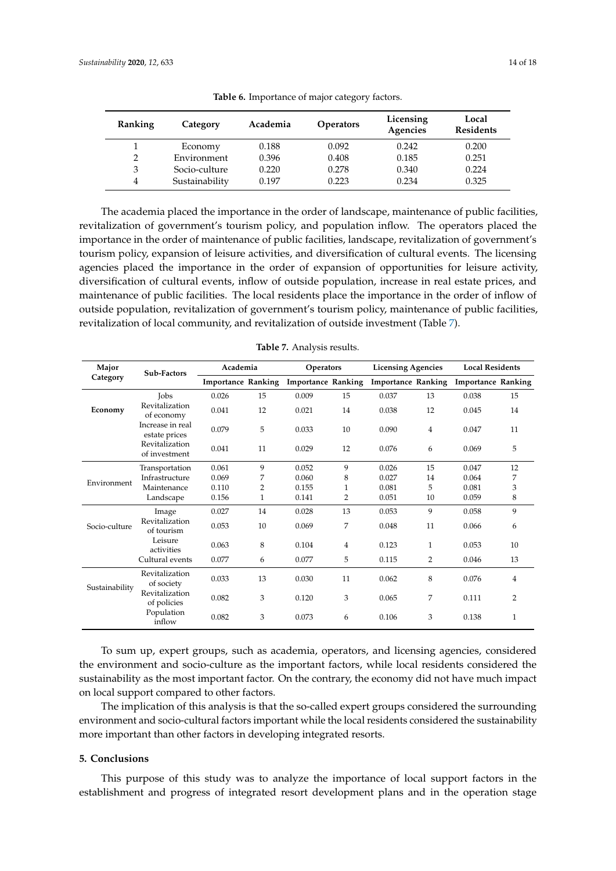<span id="page-13-0"></span>

| Ranking | Category       | Academia | <b>Operators</b> | Licensing<br>Agencies | Local<br><b>Residents</b> |
|---------|----------------|----------|------------------|-----------------------|---------------------------|
|         | Economy        | 0.188    | 0.092            | 0.242                 | 0.200                     |
| 2       | Environment    | 0.396    | 0.408            | 0.185                 | 0.251                     |
| 3       | Socio-culture  | 0.220    | 0.278            | 0.340                 | 0.224                     |
| 4       | Sustainability | 0.197    | 0.223            | 0.234                 | 0.325                     |

**Table 6.** Importance of major category factors.

The academia placed the importance in the order of landscape, maintenance of public facilities, revitalization of government's tourism policy, and population inflow. The operators placed the importance in the order of maintenance of public facilities, landscape, revitalization of government's tourism policy, expansion of leisure activities, and diversification of cultural events. The licensing agencies placed the importance in the order of expansion of opportunities for leisure activity, diversification of cultural events, inflow of outside population, increase in real estate prices, and maintenance of public facilities. The local residents place the importance in the order of inflow of outside population, revitalization of government's tourism policy, maintenance of public facilities, revitalization of local community, and revitalization of outside investment (Table [7\)](#page-13-1).

<span id="page-13-1"></span>

| Major          | Sub-Factors                       | Academia |    |                                              | <b>Operators</b> |                           | <b>Licensing Agencies</b> |                           | <b>Local Residents</b> |  |
|----------------|-----------------------------------|----------|----|----------------------------------------------|------------------|---------------------------|---------------------------|---------------------------|------------------------|--|
| Category       |                                   |          |    | <b>Importance Ranking Importance Ranking</b> |                  | <b>Importance Ranking</b> |                           | <b>Importance Ranking</b> |                        |  |
|                | <b>Tobs</b>                       | 0.026    | 15 | 0.009                                        | 15               | 0.037                     | 13                        | 0.038                     | 15                     |  |
| Economy        | Revitalization<br>of economy      | 0.041    | 12 | 0.021                                        | 14               | 0.038                     | 12                        | 0.045                     | 14                     |  |
|                | Increase in real<br>estate prices | 0.079    | 5  | 0.033                                        | 10               | 0.090                     | $\overline{4}$            | 0.047                     | 11                     |  |
|                | Revitalization<br>of investment   | 0.041    | 11 | 0.029                                        | 12               | 0.076                     | 6                         | 0.069                     | 5                      |  |
|                | Transportation                    | 0.061    | 9  | 0.052                                        | 9                | 0.026                     | 15                        | 0.047                     | 12                     |  |
| Environment    | Infrastructure                    | 0.069    | 7  | 0.060                                        | 8                | 0.027                     | 14                        | 0.064                     | 7                      |  |
|                | Maintenance                       | 0.110    | 2  | 0.155                                        | 1                | 0.081                     | 5                         | 0.081                     | 3                      |  |
|                | Landscape                         | 0.156    | 1  | 0.141                                        | 2                | 0.051                     | 10                        | 0.059                     | 8                      |  |
|                | Image                             | 0.027    | 14 | 0.028                                        | 13               | 0.053                     | 9                         | 0.058                     | 9                      |  |
| Socio-culture  | Revitalization<br>of tourism      | 0.053    | 10 | 0.069                                        | 7                | 0.048                     | 11                        | 0.066                     | 6                      |  |
|                | Leisure<br>activities             | 0.063    | 8  | 0.104                                        | 4                | 0.123                     | $\mathbf{1}$              | 0.053                     | 10                     |  |
|                | Cultural events                   | 0.077    | 6  | 0.077                                        | 5                | 0.115                     | 2                         | 0.046                     | 13                     |  |
| Sustainability | Revitalization<br>of society      | 0.033    | 13 | 0.030                                        | 11               | 0.062                     | 8                         | 0.076                     | $\overline{4}$         |  |
|                | Revitalization<br>of policies     | 0.082    | 3  | 0.120                                        | 3                | 0.065                     | 7                         | 0.111                     | $\overline{2}$         |  |
|                | Population<br>inflow              | 0.082    | 3  | 0.073                                        | 6                | 0.106                     | 3                         | 0.138                     | $\mathbf{1}$           |  |

**Table 7.** Analysis results.

To sum up, expert groups, such as academia, operators, and licensing agencies, considered the environment and socio-culture as the important factors, while local residents considered the sustainability as the most important factor. On the contrary, the economy did not have much impact on local support compared to other factors.

The implication of this analysis is that the so-called expert groups considered the surrounding environment and socio-cultural factors important while the local residents considered the sustainability more important than other factors in developing integrated resorts.

## **5. Conclusions**

This purpose of this study was to analyze the importance of local support factors in the establishment and progress of integrated resort development plans and in the operation stage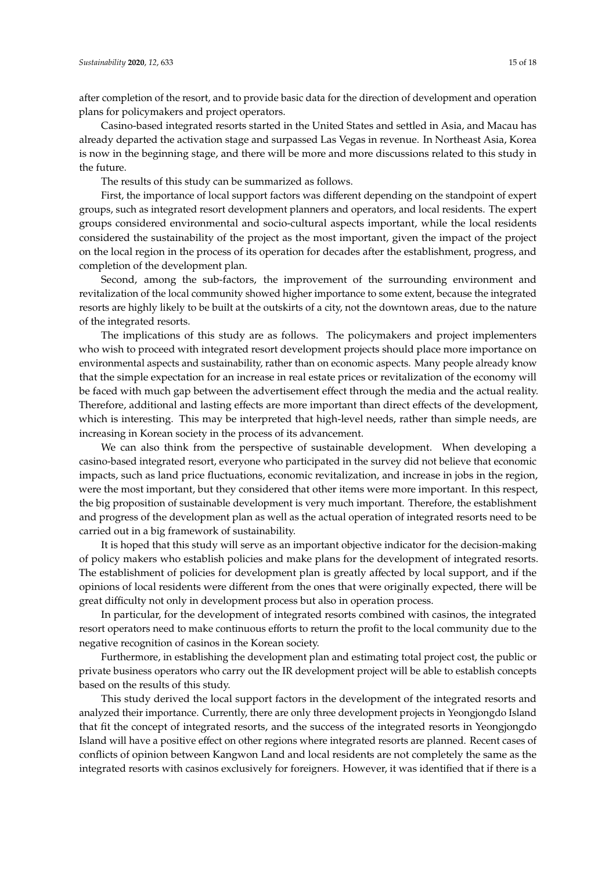after completion of the resort, and to provide basic data for the direction of development and operation plans for policymakers and project operators.

Casino-based integrated resorts started in the United States and settled in Asia, and Macau has already departed the activation stage and surpassed Las Vegas in revenue. In Northeast Asia, Korea is now in the beginning stage, and there will be more and more discussions related to this study in the future.

The results of this study can be summarized as follows.

First, the importance of local support factors was different depending on the standpoint of expert groups, such as integrated resort development planners and operators, and local residents. The expert groups considered environmental and socio-cultural aspects important, while the local residents considered the sustainability of the project as the most important, given the impact of the project on the local region in the process of its operation for decades after the establishment, progress, and completion of the development plan.

Second, among the sub-factors, the improvement of the surrounding environment and revitalization of the local community showed higher importance to some extent, because the integrated resorts are highly likely to be built at the outskirts of a city, not the downtown areas, due to the nature of the integrated resorts.

The implications of this study are as follows. The policymakers and project implementers who wish to proceed with integrated resort development projects should place more importance on environmental aspects and sustainability, rather than on economic aspects. Many people already know that the simple expectation for an increase in real estate prices or revitalization of the economy will be faced with much gap between the advertisement effect through the media and the actual reality. Therefore, additional and lasting effects are more important than direct effects of the development, which is interesting. This may be interpreted that high-level needs, rather than simple needs, are increasing in Korean society in the process of its advancement.

We can also think from the perspective of sustainable development. When developing a casino-based integrated resort, everyone who participated in the survey did not believe that economic impacts, such as land price fluctuations, economic revitalization, and increase in jobs in the region, were the most important, but they considered that other items were more important. In this respect, the big proposition of sustainable development is very much important. Therefore, the establishment and progress of the development plan as well as the actual operation of integrated resorts need to be carried out in a big framework of sustainability.

It is hoped that this study will serve as an important objective indicator for the decision-making of policy makers who establish policies and make plans for the development of integrated resorts. The establishment of policies for development plan is greatly affected by local support, and if the opinions of local residents were different from the ones that were originally expected, there will be great difficulty not only in development process but also in operation process.

In particular, for the development of integrated resorts combined with casinos, the integrated resort operators need to make continuous efforts to return the profit to the local community due to the negative recognition of casinos in the Korean society.

Furthermore, in establishing the development plan and estimating total project cost, the public or private business operators who carry out the IR development project will be able to establish concepts based on the results of this study.

This study derived the local support factors in the development of the integrated resorts and analyzed their importance. Currently, there are only three development projects in Yeongjongdo Island that fit the concept of integrated resorts, and the success of the integrated resorts in Yeongjongdo Island will have a positive effect on other regions where integrated resorts are planned. Recent cases of conflicts of opinion between Kangwon Land and local residents are not completely the same as the integrated resorts with casinos exclusively for foreigners. However, it was identified that if there is a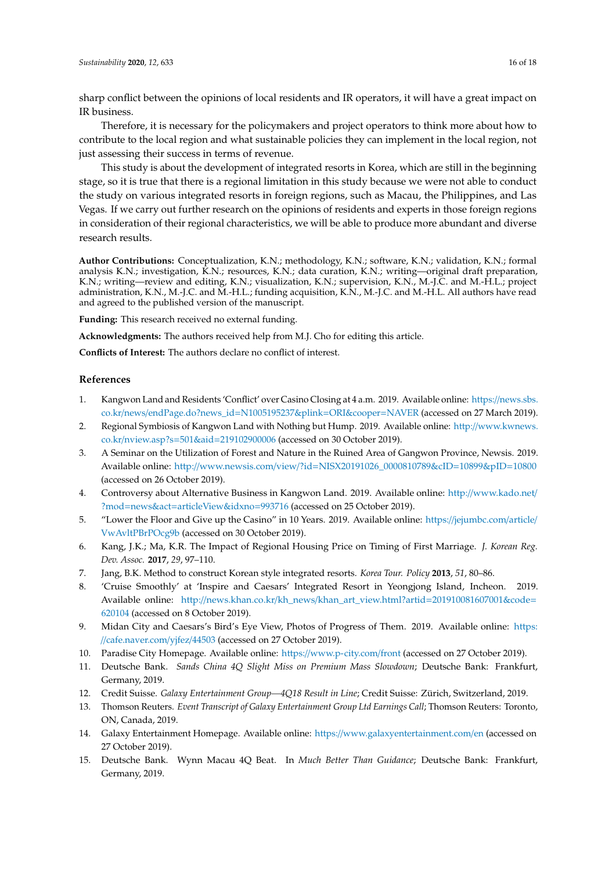sharp conflict between the opinions of local residents and IR operators, it will have a great impact on IR business.

Therefore, it is necessary for the policymakers and project operators to think more about how to contribute to the local region and what sustainable policies they can implement in the local region, not just assessing their success in terms of revenue.

This study is about the development of integrated resorts in Korea, which are still in the beginning stage, so it is true that there is a regional limitation in this study because we were not able to conduct the study on various integrated resorts in foreign regions, such as Macau, the Philippines, and Las Vegas. If we carry out further research on the opinions of residents and experts in those foreign regions in consideration of their regional characteristics, we will be able to produce more abundant and diverse research results.

**Author Contributions:** Conceptualization, K.N.; methodology, K.N.; software, K.N.; validation, K.N.; formal analysis K.N.; investigation, K.N.; resources, K.N.; data curation, K.N.; writing—original draft preparation, K.N.; writing—review and editing, K.N.; visualization, K.N.; supervision, K.N., M.-J.C. and M.-H.L.; project administration, K.N., M.-J.C. and M.-H.L.; funding acquisition, K.N., M.-J.C. and M.-H.L. All authors have read and agreed to the published version of the manuscript.

**Funding:** This research received no external funding.

**Acknowledgments:** The authors received help from M.J. Cho for editing this article.

**Conflicts of Interest:** The authors declare no conflict of interest.

#### **References**

- <span id="page-15-0"></span>1. Kangwon Land and Residents 'Conflict' over Casino Closing at 4 a.m. 2019. Available online: https://[news.sbs.](https://news.sbs.co.kr/news/endPage.do?news_id=N1005195237&plink=ORI&cooper=NAVER) co.kr/news/[endPage.do?news\\_id](https://news.sbs.co.kr/news/endPage.do?news_id=N1005195237&plink=ORI&cooper=NAVER)=N1005195237&plink=ORI&cooper=NAVER (accessed on 27 March 2019).
- <span id="page-15-1"></span>2. Regional Symbiosis of Kangwon Land with Nothing but Hump. 2019. Available online: http://[www.kwnews.](http://www.kwnews.co.kr/nview.asp?s=501&aid=219102900006) co.kr/nview.asp?s=501&aid=[219102900006](http://www.kwnews.co.kr/nview.asp?s=501&aid=219102900006) (accessed on 30 October 2019).
- <span id="page-15-2"></span>3. A Seminar on the Utilization of Forest and Nature in the Ruined Area of Gangwon Province, Newsis. 2019. Available online: http://www.newsis.com/view/?id=[NISX20191026\\_0000810789&cID](http://www.newsis.com/view/?id=NISX20191026_0000810789&cID=10899&pID=10800)=10899&pID=10800 (accessed on 26 October 2019).
- <span id="page-15-3"></span>4. Controversy about Alternative Business in Kangwon Land. 2019. Available online: http://[www.kado.net](http://www.kado.net/?mod=news&act=articleView&idxno=993716)/ ?mod=news&act=[articleView&idxno](http://www.kado.net/?mod=news&act=articleView&idxno=993716)=993716 (accessed on 25 October 2019).
- <span id="page-15-4"></span>5. "Lower the Floor and Give up the Casino" in 10 Years. 2019. Available online: https://[jejumbc.com](https://jejumbc.com/article/VwAvltPBrPOcg9b)/article/ [VwAvltPBrPOcg9b](https://jejumbc.com/article/VwAvltPBrPOcg9b) (accessed on 30 October 2019).
- <span id="page-15-5"></span>6. Kang, J.K.; Ma, K.R. The Impact of Regional Housing Price on Timing of First Marriage. *J. Korean Reg. Dev. Assoc.* **2017**, *29*, 97–110.
- <span id="page-15-6"></span>7. Jang, B.K. Method to construct Korean style integrated resorts. *Korea Tour. Policy* **2013**, *51*, 80–86.
- <span id="page-15-7"></span>8. 'Cruise Smoothly' at 'Inspire and Caesars' Integrated Resort in Yeongjong Island, Incheon. 2019. Available online: http://news.khan.co.kr/kh\_news/[khan\\_art\\_view.html?artid](http://news.khan.co.kr/kh_news/khan_art_view.html?artid=201910081607001&code=620104)=201910081607001&code= [620104](http://news.khan.co.kr/kh_news/khan_art_view.html?artid=201910081607001&code=620104) (accessed on 8 October 2019).
- <span id="page-15-8"></span>9. Midan City and Caesars's Bird's Eye View, Photos of Progress of Them. 2019. Available online: [https:](https://cafe.naver.com/yjfez/44503) //[cafe.naver.com](https://cafe.naver.com/yjfez/44503)/yjfez/44503 (accessed on 27 October 2019).
- <span id="page-15-9"></span>10. Paradise City Homepage. Available online: https://[www.p-city.com](https://www.p-city.com/front)/front (accessed on 27 October 2019).
- <span id="page-15-10"></span>11. Deutsche Bank. *Sands China 4Q Slight Miss on Premium Mass Slowdown*; Deutsche Bank: Frankfurt, Germany, 2019.
- <span id="page-15-11"></span>12. Credit Suisse. *Galaxy Entertainment Group—4Q18 Result in Line*; Credit Suisse: Zürich, Switzerland, 2019.
- <span id="page-15-12"></span>13. Thomson Reuters. *Event Transcript of Galaxy Entertainment Group Ltd Earnings Call*; Thomson Reuters: Toronto, ON, Canada, 2019.
- <span id="page-15-13"></span>14. Galaxy Entertainment Homepage. Available online: https://[www.galaxyentertainment.com](https://www.galaxyentertainment.com/en)/en (accessed on 27 October 2019).
- <span id="page-15-14"></span>15. Deutsche Bank. Wynn Macau 4Q Beat. In *Much Better Than Guidance*; Deutsche Bank: Frankfurt, Germany, 2019.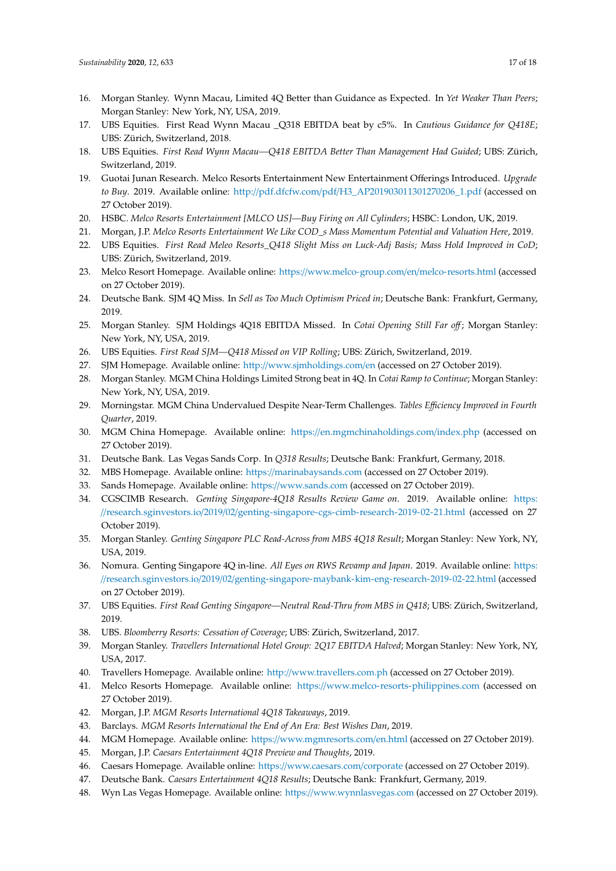- 16. Morgan Stanley. Wynn Macau, Limited 4Q Better than Guidance as Expected. In *Yet Weaker Than Peers*; Morgan Stanley: New York, NY, USA, 2019.
- 17. UBS Equities. First Read Wynn Macau \_Q318 EBITDA beat by c5%. In *Cautious Guidance for Q418E*; UBS: Zürich, Switzerland, 2018.
- <span id="page-16-0"></span>18. UBS Equities. *First Read Wynn Macau—Q418 EBITDA Better Than Management Had Guided*; UBS: Zürich, Switzerland, 2019.
- <span id="page-16-1"></span>19. Guotai Junan Research. Melco Resorts Entertainment New Entertainment Offerings Introduced. *Upgrade to Buy*. 2019. Available online: http://pdf.dfcfw.com/pdf/[H3\\_AP201903011301270206\\_1.pdf](http://pdf.dfcfw.com/pdf/H3_AP201903011301270206_1.pdf) (accessed on 27 October 2019).
- 20. HSBC. *Melco Resorts Entertainment [MLCO US]—Buy Firing on All Cylinders*; HSBC: London, UK, 2019.
- 21. Morgan, J.P. *Melco Resorts Entertainment We Like COD\_s Mass Momentum Potential and Valuation Here*, 2019.
- <span id="page-16-2"></span>22. UBS Equities. *First Read Meleo Resorts\_Q418 Slight Miss on Luck-Adj Basis; Mass Hold Improved in CoD*; UBS: Zürich, Switzerland, 2019.
- <span id="page-16-3"></span>23. Melco Resort Homepage. Available online: https://[www.melco-group.com](https://www.melco-group.com/en/melco-resorts.html)/en/melco-resorts.html (accessed on 27 October 2019).
- <span id="page-16-4"></span>24. Deutsche Bank. SJM 4Q Miss. In *Sell as Too Much Optimism Priced in*; Deutsche Bank: Frankfurt, Germany, 2019.
- 25. Morgan Stanley. SJM Holdings 4Q18 EBITDA Missed. In *Cotai Opening Still Far o*ff ; Morgan Stanley: New York, NY, USA, 2019.
- <span id="page-16-5"></span>26. UBS Equities. *First Read SJM—Q418 Missed on VIP Rolling*; UBS: Zürich, Switzerland, 2019.
- <span id="page-16-6"></span>27. SJM Homepage. Available online: http://[www.sjmholdings.com](http://www.sjmholdings.com/en)/en (accessed on 27 October 2019).
- <span id="page-16-7"></span>28. Morgan Stanley. MGM China Holdings Limited Strong beat in 4Q. In *Cotai Ramp to Continue*; Morgan Stanley: New York, NY, USA, 2019.
- <span id="page-16-8"></span>29. Morningstar. MGM China Undervalued Despite Near-Term Challenges. *Tables E*ffi*ciency Improved in Fourth Quarter*, 2019.
- <span id="page-16-9"></span>30. MGM China Homepage. Available online: https://[en.mgmchinaholdings.com](https://en.mgmchinaholdings.com/index.php)/index.php (accessed on 27 October 2019).
- <span id="page-16-10"></span>31. Deutsche Bank. Las Vegas Sands Corp. In *Q318 Results*; Deutsche Bank: Frankfurt, Germany, 2018.
- 32. MBS Homepage. Available online: https://[marinabaysands.com](https://marinabaysands.com) (accessed on 27 October 2019).
- <span id="page-16-11"></span>33. Sands Homepage. Available online: https://[www.sands.com](https://www.sands.com) (accessed on 27 October 2019).
- <span id="page-16-12"></span>34. CGSCIMB Research. *Genting Singapore-4Q18 Results Review Game on*. 2019. Available online: [https:](https://research.sginvestors.io/2019/02/genting-singapore-cgs-cimb-research-2019-02-21.html) //research.sginvestors.io/2019/02/[genting-singapore-cgs-cimb-research-2019-02-21.html](https://research.sginvestors.io/2019/02/genting-singapore-cgs-cimb-research-2019-02-21.html) (accessed on 27 October 2019).
- <span id="page-16-23"></span>35. Morgan Stanley. *Genting Singapore PLC Read-Across from MBS 4Q18 Result*; Morgan Stanley: New York, NY, USA, 2019.
- 36. Nomura. Genting Singapore 4Q in-line. *All Eyes on RWS Revamp and Japan*. 2019. Available online: [https:](https://research.sginvestors.io/2019/02/genting-singapore-maybank-kim-eng-research-2019-02-22.html) //research.sginvestors.io/2019/02/[genting-singapore-maybank-kim-eng-research-2019-02-22.html](https://research.sginvestors.io/2019/02/genting-singapore-maybank-kim-eng-research-2019-02-22.html) (accessed on 27 October 2019).
- <span id="page-16-13"></span>37. UBS Equities. *First Read Genting Singapore—Neutral Read-Thru from MBS in Q418*; UBS: Zürich, Switzerland, 2019.
- <span id="page-16-14"></span>38. UBS. *Bloomberry Resorts: Cessation of Coverage*; UBS: Zürich, Switzerland, 2017.
- <span id="page-16-15"></span>39. Morgan Stanley. *Travellers International Hotel Group: 2Q17 EBITDA Halved*; Morgan Stanley: New York, NY, USA, 2017.
- <span id="page-16-16"></span>40. Travellers Homepage. Available online: http://[www.travellers.com.ph](http://www.travellers.com.ph) (accessed on 27 October 2019).
- <span id="page-16-17"></span>41. Melco Resorts Homepage. Available online: https://[www.melco-resorts-philippines.com](https://www.melco-resorts-philippines.com) (accessed on 27 October 2019).
- <span id="page-16-18"></span>42. Morgan, J.P. *MGM Resorts International 4Q18 Takeaways*, 2019.
- 43. Barclays. *MGM Resorts International the End of An Era: Best Wishes Dan*, 2019.
- <span id="page-16-19"></span>44. MGM Homepage. Available online: https://[www.mgmresorts.com](https://www.mgmresorts.com/en.html)/en.html (accessed on 27 October 2019).
- <span id="page-16-20"></span>45. Morgan, J.P. *Caesars Entertainment 4Q18 Preview and Thoughts*, 2019.
- 46. Caesars Homepage. Available online: https://[www.caesars.com](https://www.caesars.com/corporate)/corporate (accessed on 27 October 2019).
- <span id="page-16-21"></span>47. Deutsche Bank. *Caesars Entertainment 4Q18 Results*; Deutsche Bank: Frankfurt, Germany, 2019.
- <span id="page-16-22"></span>48. Wyn Las Vegas Homepage. Available online: https://[www.wynnlasvegas.com](https://www.wynnlasvegas.com) (accessed on 27 October 2019).